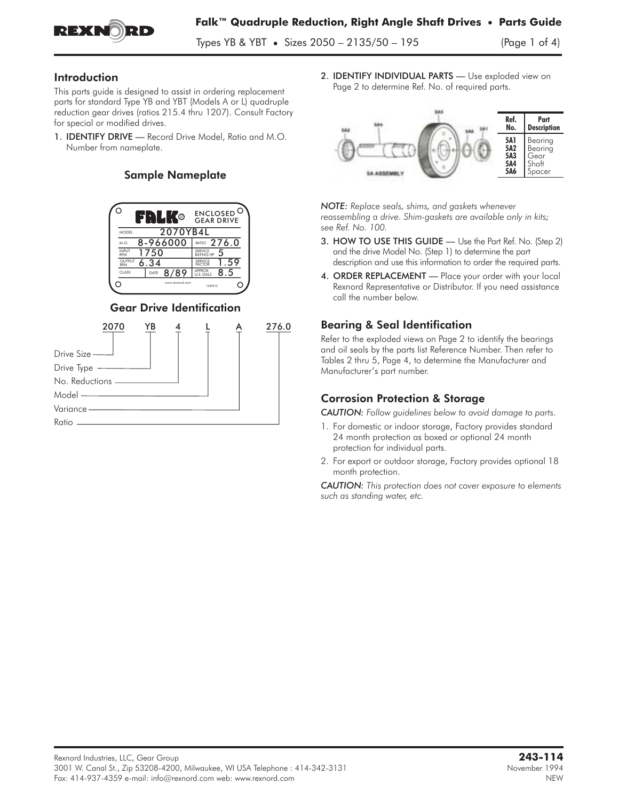

Types YB & YBT **•** Sizes 2050 – 2135/50 – 195 (Page 1 of 4)

### Introduction

This parts guide is designed to assist in ordering replacement parts for standard Type YB and YBT (Models A or L) quadruple reduction gear drives (ratios 215.4 thru 1207). Consult Factory for special or modified drives.

1. IDENTIFY DRIVE — Record Drive Model, Ratio and M.O. Number from nameplate.

### Sample Nameplate



Gear Drive Identification



2. **IDENTIFY INDIVIDUAL PARTS** - Use exploded view on Page 2 to determine Ref. No. of required parts.



*NOTE: Replace seals, shims, and gaskets whenever reassembling a drive. Shim-gaskets are available only in kits; see Ref. No. 100.*

- 3. HOW TO USE THIS GUIDE Use the Part Ref. No. (Step 2) and the drive Model No. (Step 1) to determine the part description and use this information to order the required parts.
- 4. ORDER REPLACEMENT Place your order with your local Rexnord Representative or Distributor. If you need assistance call the number below.

## Bearing & Seal Identification

Refer to the exploded views on Page 2 to identify the bearings and oil seals by the parts list Reference Number. Then refer to Tables 2 thru 5, Page 4, to determine the Manufacturer and Manufacturer's part number.

# Corrosion Protection & Storage

*CAUTION: Follow guidelines below to avoid damage to parts.*

- 1. For domestic or indoor storage, Factory provides standard 24 month protection as boxed or optional 24 month protection for individual parts.
- 2. For export or outdoor storage, Factory provides optional 18 month protection.

*CAUTION: This protection does not cover exposure to elements such as standing water, etc.*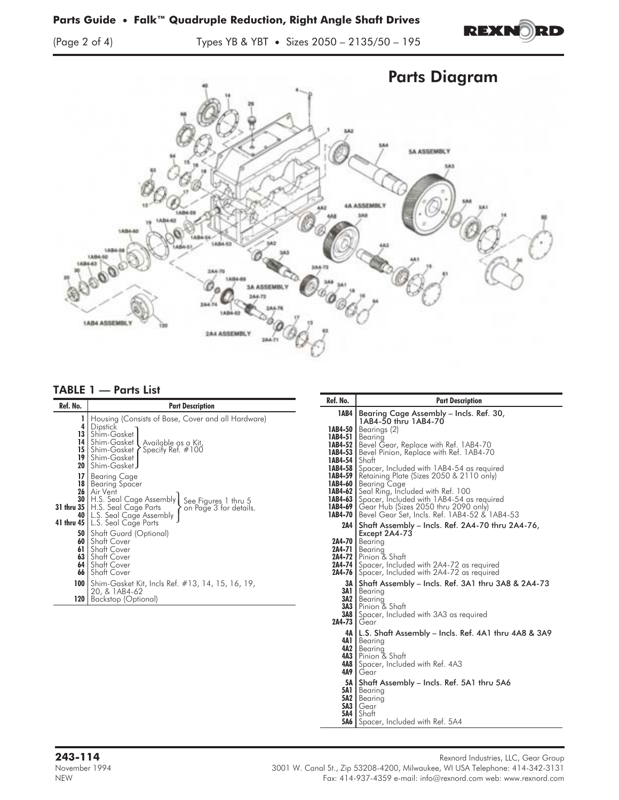

(Page 2 of 4) Types YB & YBT **•** Sizes 2050 – 2135/50 – 195



### TABLE 1 — Parts List

|                                                                      |                                                                                                                                                                                                                                                                                                                                                                                                                                                                                                                                                                                                   | Ref. No.                                                          | <b>Part Description</b>                                                                                                                                                                                                                                                                                                                                                                                                                                                                                                                                                                                                                                                                                                                                                                       |
|----------------------------------------------------------------------|---------------------------------------------------------------------------------------------------------------------------------------------------------------------------------------------------------------------------------------------------------------------------------------------------------------------------------------------------------------------------------------------------------------------------------------------------------------------------------------------------------------------------------------------------------------------------------------------------|-------------------------------------------------------------------|-----------------------------------------------------------------------------------------------------------------------------------------------------------------------------------------------------------------------------------------------------------------------------------------------------------------------------------------------------------------------------------------------------------------------------------------------------------------------------------------------------------------------------------------------------------------------------------------------------------------------------------------------------------------------------------------------------------------------------------------------------------------------------------------------|
| Ref. No.<br>19<br>20<br>17<br>18<br>26<br>30<br>60<br>61<br>63<br>64 | <b>Part Description</b><br>Housing (Consists of Base, Cover and all Hardware)<br>4 Dipstick<br>13 Shim-Gasket<br>14 Shim-Gasket Available as a Kit,<br><b>15</b> Shim-Gasket Specify Ref. $\#100$<br>Shim-Gasket I<br>  Shim-Gasket J<br><b>Bearing Cage</b><br>Bearing Spacer<br>Air Vent<br>H.S. Seal Cage Assembly<br>See_Figures 1 thru 5<br><b>31 thru 35</b>   H.S. Seal Cage Parts<br>on Page 3 for details.<br><b>40</b> L.S. Seal Cage Assembly<br>41 thru 45   L.S. Seal Cage Parts<br><b>50</b> Shaft Guard (Optional)<br>l Shaft Cover<br>Shaft Cover<br>l Shaft Cover<br>Shaft Cover | 1AB4<br>1AB4-54   Shaft<br>1AB4-69<br>1AB4-70<br>2A4-70<br>2A4-71 | Bearing Cage Assembly - Incls. Ref. 30,<br>1AB4-50 thru 1AB4-70<br><b>1AB4-50</b>   Bearings $(2)$<br>1AB4-51   Bearing<br><b>1AB4-52</b>   Bevel Gear, Replace with Ref. 1AB4-70<br><b>1AB4-53</b>   Bevel Pinion, Replace with Ref. 1AB4-70<br><b>IAB4-58</b> Spacer, Included with 1AB4-54 as required<br><b>IAB4-59</b>   Retaining Plate (Sizes 2050 & 2110 only)<br>1AB4-60 Bearing Cage<br>1AB4-62 Seal Ring, Included with Ref. 100<br><b>IAB4-63</b> Spacer, Included with 1AB4-54 as required<br>Gear Hub (Sizes 2050 thru 2090 only)<br>Bevel Gear Set, Incls. Ref. 1AB4-52 & 1AB4-53<br>2A4   Shaft Assembly - Incls. Ref. 2A4-70 thru 2A4-76,<br>Except 2A4-73<br>Bearina<br>Bearing<br><b>2A4-72</b>   Pinion & Shaft<br><b>2A4-74</b> Spacer, Included with 2A4-72 as required |
| 66                                                                   | Shaft Cover<br><b>100</b>   Shim-Gasket Kit, Incls Ref. #13, 14, 15, 16, 19,<br>20, & 1AB4-62<br>120   Backstop (Optional)                                                                                                                                                                                                                                                                                                                                                                                                                                                                        | 3A I<br>3A1 I<br>3A2 I<br>2A4-73                                  | <b>2A4-76</b> Spacer, Included with 2A4-72 as required<br>Shaft Assembly - Incls. Ref. 3A1 thru 3A8 & 2A4-73<br>Bearing<br>Bearing<br><b>3A3</b> Pinion & Shaft<br><b>3A8</b> Spacer, Included with 3A3 as required<br>Gear                                                                                                                                                                                                                                                                                                                                                                                                                                                                                                                                                                   |
|                                                                      |                                                                                                                                                                                                                                                                                                                                                                                                                                                                                                                                                                                                   |                                                                   | 4A   L.S. Shaft Assembly – Incls. Ref. 4A1 thru 4A8 & 3A9<br>4A1   Bearing<br>4A2 Bearing<br>4A3 Pinion & Shaft<br>4A8 Spacer, Included with Ref. 4A3<br>$4A9$   Gear                                                                                                                                                                                                                                                                                                                                                                                                                                                                                                                                                                                                                         |

- 5A Shaft Assembly Incls. Ref. 5A1 thru 5A6 5A1 Bearing 5A2 Bearing
- 
- 
- 
- **5A3 |** Gear<br>**5A4 |** Shaft<br>**5A6 |** Spacer, Included with Ref. 5A4

Rexnord Industries, LLC, Gear Group<br>1312-1420 Rexnord Industries, LLC, Gear Group<br>14-342-3131 Rexnord Industries, LLC, Gear Group November 1994 3001 W. Canal St., Zip 53208-4200, Milwaukee, WI USA Telephone: 414-342-3131<br>NEW Fax: 414-937-4359 e-mail: info@rexnord.com web: www.rexnord.com Fax: 414-937-4359 e-mail: info@rexnord.com web: www.rexnord.com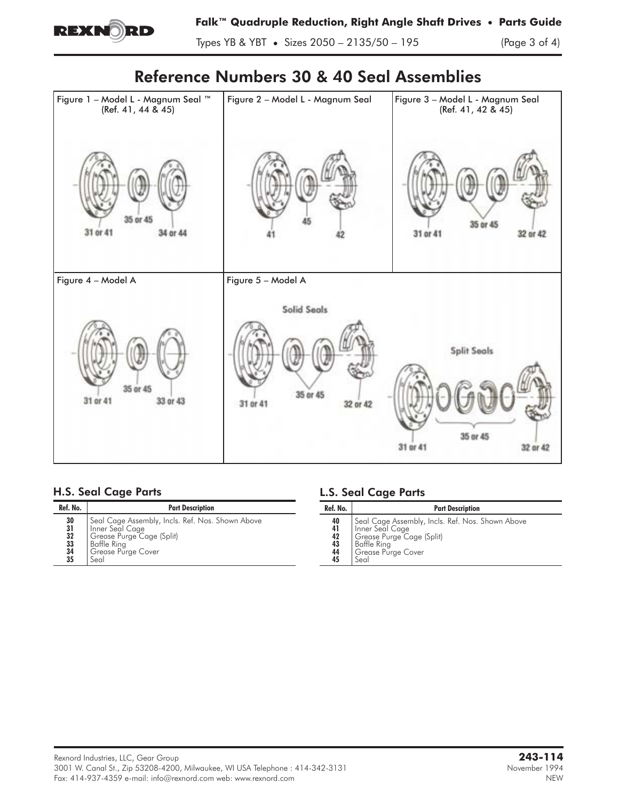

Types YB & YBT **•** Sizes 2050 – 2135/50 – 195 (Page 3 of 4)

# Reference Numbers 30 & 40 Seal Assemblies



# H.S. Seal Cage Parts

| Ref. No.                                       | <b>Part Description</b>                                                                                                                       |  |  |  |  |
|------------------------------------------------|-----------------------------------------------------------------------------------------------------------------------------------------------|--|--|--|--|
| 30<br>$\frac{31}{32}$<br>$\frac{33}{34}$<br>35 | Seal Cage Assembly, Incls. Ref. Nos. Shown Above<br>Inner Seal Cage<br>Grease Purge Cage (Split)<br>Baffle Ring<br>Grease Purge Cover<br>Seal |  |  |  |  |

# L.S. Seal Cage Parts

| Ref. No.                                       | <b>Part Description</b>                                                                                                                       |
|------------------------------------------------|-----------------------------------------------------------------------------------------------------------------------------------------------|
| 40<br>41<br>$\frac{42}{43}$<br>$\frac{44}{45}$ | Seal Cage Assembly, Incls. Ref. Nos. Shown Above<br>Inner Seal Cage<br>Grease Purge Cage (Split)<br>Baffle Ring<br>Grease Purge Cover<br>Seal |